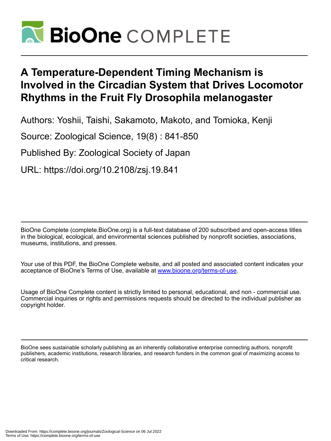

# **A Temperature-Dependent Timing Mechanism is Involved in the Circadian System that Drives Locomotor Rhythms in the Fruit Fly Drosophila melanogaster**

Authors: Yoshii, Taishi, Sakamoto, Makoto, and Tomioka, Kenji

Source: Zoological Science, 19(8) : 841-850

Published By: Zoological Society of Japan

URL: https://doi.org/10.2108/zsj.19.841

BioOne Complete (complete.BioOne.org) is a full-text database of 200 subscribed and open-access titles in the biological, ecological, and environmental sciences published by nonprofit societies, associations, museums, institutions, and presses.

Your use of this PDF, the BioOne Complete website, and all posted and associated content indicates your acceptance of BioOne's Terms of Use, available at www.bioone.org/terms-of-use.

Usage of BioOne Complete content is strictly limited to personal, educational, and non - commercial use. Commercial inquiries or rights and permissions requests should be directed to the individual publisher as copyright holder.

BioOne sees sustainable scholarly publishing as an inherently collaborative enterprise connecting authors, nonprofit publishers, academic institutions, research libraries, and research funders in the common goal of maximizing access to critical research.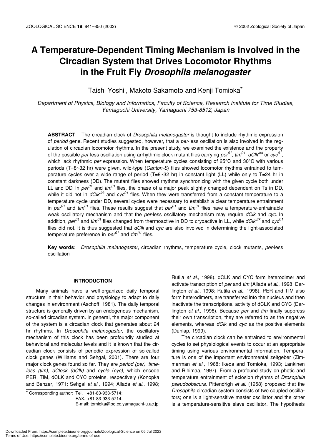## **A Temperature-Dependent Timing Mechanism is Involved in the Circadian System that Drives Locomotor Rhythms in the Fruit Fly** *Drosophila melanogaster*

Taishi Yoshii, Makoto Sakamoto and Kenji Tomioka\*

*Department of Physics, Biology and Informatics, Faculty of Science, Research Institute for Time Studies, Yamaguchi University, Yamaguchi 753-8512, Japan*

**ABSTRACT** —The circadian clock of *Drosophila melanogaster* is thought to include rhythmic expression of *period* gene. Recent studies suggested, however, that a *per*-less oscillation is also involved in the regulation of circadian locomotor rhythms. In the present study, we examined the existence and the property of the possible *per*-less oscillation using arrhythmic clock mutant flies carrying  $per^{01}$ ,  $time^{01}$ ,  $dClk^{Jrk}$  or  $cyc^{01}$ , which lack rhythmic *per* expression. When temperature cycles consisting of 25°C and 30°C with various periods (T=8~32 hr) were given, wild-type (*Canton-S*) flies showed locomotor rhythms entrained to temperature cycles over a wide range of period  $(T=8~32~\text{hr})$  in constant light (LL) while only to T=24 hr in constant darkness (DD). The mutant flies showed rhythms synchronizing with the given cycle both under LL and DD. In *per*<sup>01</sup> and *tim*<sup>01</sup> flies, the phase of a major peak slightly changed dependent on Ts in DD, while it did not in  $dC/k^{Jrk}$  and  $cyc^{01}$  flies. When they were transferred from a constant temperature to a temperature cycle under DD, several cycles were necessary to establish a clear temperature entrainment in  $\rho e^{\rho T}$  and  $\lim^{01}$  flies. These results suggest that  $\rho e^{\rho T}$  and  $\lim^{01}$  flies have a temperature-entrainable weak oscillatory mechanism and that the *per*-less oscillatory mechanism may require *dClk* and *cyc*. In addition,  $\rho e^{\rho T}$  and *tim<sup>01</sup>* flies changed from thermoactive in DD to cryoactive in LL, while *dClk<sup>Jrk</sup>* and *cyc<sup>01</sup>* flies did not. It is thus suggested that *dClk* and *cyc* are also involved in determining the light-associated temperature preference in  $\rho e^{j\theta}$  and  $\lim^{01}$  flies.

**Key words:** *Drosophila melanogaster*, circadian rhythms, temperature cycle, clock mutants, *per*-less oscillation

## **INTRODUCTION**

Many animals have a well-organized daily temporal structure in their behavior and physiology to adapt to daily changes in environment (Aschoff, 1981). The daily temporal structure is generally driven by an endogenous mechanism, so-called circadian system. In general, the major component of the system is a circadian clock that generates about 24 hr rhythms. In *Drosophila melanogaster*, the oscillatory mechanism of this clock has been profoundly studied at behavioral and molecular levels and it is known that the circadian clock consists of periodic expression of so-called clock genes (Williams and Sehgal, 2001). There are four major clock genes found so far. They are *period (per)*, *timeless (tim)*, *dClock (dClk)* and *cycle* (*cyc),* which encode PER, TIM, dCLK and CYC proteins, respectively (Konopka and Benzer, 1971; Sehgal *et al*., 1994; Allada *et al*., 1998;

 $*$  Corresponding author: Tel.  $+81-83-933-5714$ ;

E-mail: tomioka@po.cc.yamaguchi-u.ac.jp

Rutila *et al*., 1998). dCLK and CYC form heterodimer and activate transcription of *per* and *tim* (Allada *et al*., 1998; Darlington *et al*., 1998; Rutila *et al*., 1998). PER and TIM also form heterodimers, are transferred into the nucleus and then inactivate the transcriptional activity of dCLK and CYC (Darlington *et al*., 1998). Because *per* and *tim* finally suppress their own transcription, they are referred to as the negative elements, whereas *dClk* and *cyc* as the positive elements (Dunlap, 1999).

The circadian clock can be entrained to environmental cycles to set physiological events to occur at an appropriate timing using various environmental information. Temperature is one of the important environmental zeitgeber (Zimmerman *et al*., 1968; Ikeda and Tomioka, 1993; Lankinen and Rihimaa, 1997). From a profound study on photic and temperature entrainment of eclosion rhythms of *Drosophila pseudoobscura*, Pittendrigh *et al*. (1958) proposed that the *Drosophila* circadian system consists of two coupled oscillators; one is a light-sensitive master oscillator and the other is a temperature-sensitive slave oscillator. The hypothesis

FAX. +81-83-933-5714.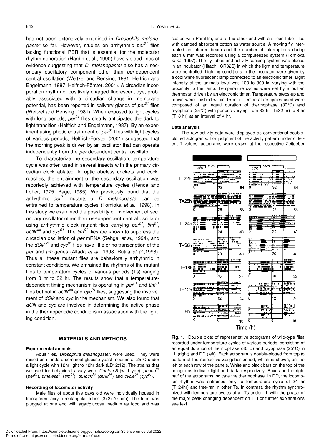has not been extensively examined in *Drosophila melanogaster* so far. However, studies on arrhythmic *per01* flies lacking functional PER that is essential for the molecular rhythm generation (Hardin et al., 1990) have yielded lines of evidence suggesting that *D. melanogaster* also has a secondary oscillatory component other than *per*-dependent central oscillation (Weitzel and Rensing, 1981; Helfrich and Engelmann, 1987; Helfrich-Förster, 2001). A circadian incorporation rhythm of positively charged fluorescent dye, probably associated with a circadian change in membrane potential, has been reported in salivary glands of *per01* flies (Weitzel and Rensing, 1981). When exposed to light cycles with long periods,  $\rho e^{\rho}$  flies clearly anticipated the dark to light transition (Helfrich and Engelmann, 1987). By an experiment using photic entrainment of  $\rho e^{\rho}$ <sup> $\theta$ </sup> flies with light cycles of various periods, Helfrich-Förster (2001) suggested that the morning peak is driven by an oscillator that can operate independently from the *per*-dependent central oscillator.

To characterize the secondary oscillation, temperature cycle was often used in several insects with the primary circadian clock ablated. In optic-lobeless crickets and cockroaches, the entrainment of the secondary oscillation was reportedly achieved with temperature cycles (Rence and Loher, 1975; Page, 1985). We previously found that the arrhythmic *per01* mutants of *D. melanogaster* can be entrained to temperature cycles (Tomioka *et al*., 1998). In this study we examined the possibility of involvement of secondary oscillator other than *per*-dependent central oscillator using arrhythmic clock mutant flies carrying *per01*, *tim01*, *dClkJrk* and *cyc01*. The *tim01* flies are known to suppress the circadian oscillation of *per* mRNA (Sehgal *et al*., 1994), and the  $dClk^{Jrk}$  and  $cyc^{01}$  flies have little or no transcription of the *per* and *tim* genes (Allada *et al*., 1998; Rutila *et al*.,1998). Thus all these mutant flies are behaviorally arrhythmic in constant conditions. We entrained the rhythms of the mutant flies to temperature cycles of various periods (Ts) ranging from 8 hr to 32 hr. The results show that a temperaturedependent timing mechanism is operating in *per01* and *tim01* flies but not in  $dClk^{Jrk}$  and  $cyc^{01}$  flies, suggesting the involvement of *dClk* and *cyc* in the mechanism. We also found that *dClk* and *cyc* are involved in determining the active phase in the thermoperiodic conditions in association with the lighting condition.

#### **MATERIALS AND METHODS**

## **Experimental animals**

Adult flies, *Drosophila melanogaster*, were used. They were raised on standard cornmeal-glucose-yeast medium at 25°C under a light cycle with 12hr light to 12hr dark (LD12:12). The strains that we used for behavioral assay were *Canton-S* (wild-type), *period*<sup>0</sup> (*per*<sup>01</sup>), *timeless*<sup>01</sup> (*tim*<sup>01</sup>), *dClock*<sup>*Jrk*</sup> (*dClk*<sup>*Jrk*</sup>) and *cycle*<sup>01</sup> (*cyc*<sup>01</sup>).

#### **Recording of locomotor activity**

Male flies of about five days old were individually housed in transparent acrylic rectangular tubes (3×3×70 mm). The tube was plugged at one end with agar/glucose medium as food and was sealed with Parafilm, and at the other end with a silicon tube filled with damped absorbent cotton as water source. A moving fly interrupted an infrared beam and the number of interruptions during each 6 min was recorded using a computerized system (Tomioka *et al*., 1997). The fly tubes and activity sensing system was placed in an incubator (Hitachi, CR32S) in which the light and temperature were controlled. Lighting conditions in the incubator were given by a cool white fluorescent lamp connected to an electronic timer. Light intensity at the animals level was 100 to 300 lx, varying with the proximity to the lamp. Temperature cycles were set by a built-in thermostat driven by an electronic timer. Temperature steps-up and -down were finished within 15 min. Temperature cycles used were composed of an equal duration of thermophase (30°C) and cryophase (25°C) with periods varying from 32 hr (T=32 hr) to 8 hr (T=8 hr) at an interval of 4 hr.

#### **Data analysis**

The raw activity data were displayed as conventional doubleplotted actograms. For judgment of the activity pattern under different T values, actograms were drawn at the respective Zeitgeber



**Fig. 1.** Double plots of representative actograms of wild-type flies recorded under temperature cycles of various periods, consisting of an equal duration of thermophase (30°C) and cryophase (25°C) in LL (right) and DD (left). Each actogram is double-plotted from top to bottom at the respective Zeitgeber period, which is shown, on the left of each row of the panels. White and black bars on the top of the actograms indicate light and dark, respectively. Boxes on the right half of the actograms indicate the thermophase. In DD, the locomotor rhythm was entrained only to temperature cycle of 24 hr (T=24hr) and free-ran in other Ts. In contrast, the rhythm synchronized with temperature cycles of all Ts under LL with the phase of the major peak changing dependent on T. For further explanations see text.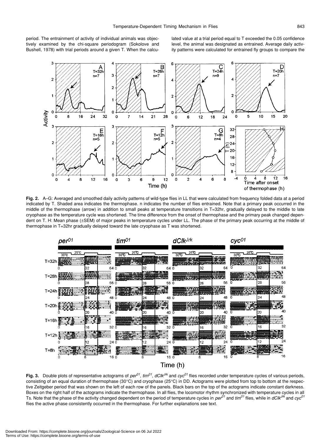period. The entrainment of activity of individual animals was objectively examined by the chi-square periodogram (Sokolove and Bushell, 1978) with trial periods around a given T. When the calculated value at a trial period equal to T exceeded the 0.05 confidence level, the animal was designated as entrained. Average daily activity patterns were calculated for entrained fly groups to compare the



**Fig. 2.** A–G: Averaged and smoothed daily activity patterns of wild-type flies in LL that were calculated from frequency folded data at a period indicated by T. Shaded area indicates the thermophase. n indicates the number of flies entrained. Note that a primary peak occurred in the middle of the thermophase (arrow) in addition to small peaks at temperature transitions in T=32hr, gradually delayed to the middle to late cryophase as the temperature cycle was shortened. The time difference from the onset of thermophase and the primary peak changed dependent on T. H: Mean phase (±SEM) of major peaks in temperature cycles under LL. The phase of the primary peak occurring at the middle of thermophase in T=32hr gradually delayed toward the late cryophase as T was shortened.



**Fig. 3.** Double plots of representative actograms of *per01*, *tim01*, *dClkJrk* and *cyc01* flies recorded under temperature cycles of various periods, consisting of an equal duration of thermophase (30°C) and cryophase (25°C) in DD. Actograms were plotted from top to bottom at the respective Zeitgeber period that was shown on the left of each row of the panels. Black bars on the top of the actograms indicate constant darkness. Boxes on the right half of the actograms indicate the thermophase. In all flies, the locomotor rhythm synchronized with temperature cycles in all Ts. Note that the phase of the activity changed dependent on the period of temperature cycles in  $\rho e^{\rho f}$  and *tim*<sup>01</sup> flies, while in  $dC/k^{Jr\bar{k}}$  and  $cyc^{01}$ flies the active phase consistently occurred in the thermophase. For further explanations see text.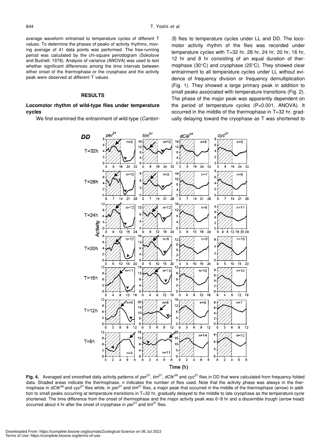average waveform entrained to temperature cycles of different T values. To determine the phases of peaks of activity rhythms, moving average of 41 data points was performed. The free-running period was calculated by the chi-square periodogram (Sokolove and Bushell, 1978). Analysis of variance (ANOVA) was used to test whether significant differences among the time intervals between either onset of the thermophase or the cryophase and the activity peak were observed at different T values.

## **RESULTS**

## **Locomotor rhythm of wild-type flies under temperature cycles**

We first examined the entrainment of wild-type (*Canton-*

*S*) flies to temperature cycles under LL and DD. The locomotor activity rhythm of the flies was recorded under temperature cycles with T=32 hr, 28 hr, 24 hr, 20 hr, 16 hr, 12 hr and 8 hr consisting of an equal duration of thermophase (30°C) and cryophase (25°C). They showed clear entrainment to all temperature cycles under LL without evidence of frequency division or frequency demultiplication (Fig. 1). They showed a large primary peak in addition to small peaks associated with temperature transitions (Fig. 2). The phase of the major peak was apparently dependent on the period of temperature cycles (P<0.001, ANOVA). It occurred in the middle of the thermophase in T=32 hr, gradually delaying toward the cryophase as T was shortened to



**Fig. 4.** Averaged and smoothed daily activity patterns of *per01*, *tim01*, *dClkJrk* and *cyc01* flies in DD that were calculated from frequency folded data. Shaded areas indicate the thermophase. n indicates the number of flies used. Note that the activity phase was always in the thermophase in *dClk<sup>Jrk</sup>* and *cyc<sup>01</sup>* flies while, in *per*<sup>01</sup> and *tim*<sup>01</sup> flies, a major peak that occurred in the middle of the thermophase (arrow) in addition to small peaks occurring at temperature transitions in T=32 hr, gradually delayed to the middle to late cryophase as the temperature cycle shortened. The time difference from the onset of thermophase and the major activity peak was 6~8 hr and a discernible trough (arrow head) occurred about 4 hr after the onset of cryophase in *per01* and *tim01* flies.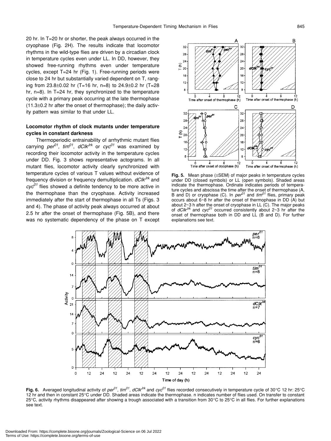20 hr. In T=20 hr or shorter, the peak always occurred in the cryophase (Fig. 2H). The results indicate that locomotor rhythms in the wild-type flies are driven by a circadian clock in temperature cycles even under LL. In DD, however, they showed free-running rhythms even under temperature cycles, except T=24 hr (Fig. 1). Free-running periods were close to 24 hr but substantially varied dependent on T, ranging from  $23.8 \pm 0.02$  hr (T=16 hr, n=8) to  $24.9 \pm 0.2$  hr (T=28) hr, n=8). In T=24 hr, they synchronized to the temperature cycle with a primary peak occurring at the late thermophase (11.3±0.2 hr after the onset of thermophase); the daily activity pattern was similar to that under LL.

## **Locomotor rhythm of clock mutants under temperature cycles in constant darkness**

Thermoperiodic entrainability of arrhythmic mutant flies carrying  $per^{01}$ ,  $tim^{01}$ ,  $dClk^{Jrk}$  or  $cyc^{01}$  was examined by recording their locomotor activity in the temperature cycles under DD. Fig. 3 shows representative actograms. In all mutant flies, locomotor activity clearly synchronized with temperature cycles of various T values without evidence of frequency division or frequency demultiplication. *dClkJrk* and *cyc01* flies showed a definite tendency to be more active in the thermophase than the cryophase. Activity increased immediately after the start of thermophase in all Ts (Figs. 3 and 4). The phase of activity peak always occurred at about 2.5 hr after the onset of thermophase (Fig. 5B), and there was no systematic dependency of the phase on T except



**Fig. 5.** Mean phase (±SEM) of major peaks in temperature cycles under DD (closed symbols) or LL (open symbols). Shaded areas indicate the thermophase. Ordinate indicates periods of temperature cycles and abscissa the time after the onset of thermophase (A, B and D) or cryophase (C). In  $\rho e^{i\theta t}$  and  $\lim^{01}$  flies, primary peak occurs about 6~8 hr after the onset of thermophase in DD (A) but about  $2\neg 3$  h after the onset of cryophase in LL (C). The major peaks of *dClkJrk* and *cyc01* occurred consistently about 2~3 hr after the onset of thermophase both in DD and LL (B and D). For further explanations see text.



**Fig. 6.** Averaged longitudinal activity of *per*<sup>01</sup>, *tim*<sup>01</sup>, *dClk*<sup>*Irk*</sup> and *cyc*<sup>01</sup> flies recorded consecutively in temperature cycle of 30°C 12 hr: 25°C 12 hr and then in constant 25°C under DD. Shaded areas indicate the thermophase. n indicates number of flies used. On transfer to constant 25°C, activity rhythms disappeared after showing a trough associated with a transition from 30°C to 25°C in all flies. For further explanations see text.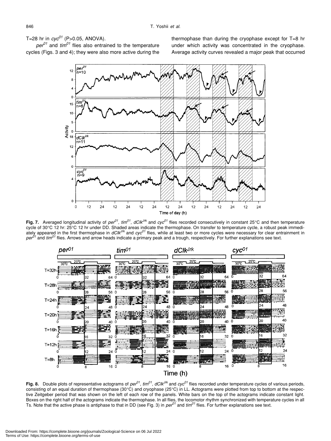T=28 hr in  $cyc^{01}$  (P>0.05, ANOVA).

 $\rho e^{\rho}$  and  $\theta$ <sup>01</sup> flies also entrained to the temperature cycles (Figs. 3 and 4); they were also more active during the thermophase than during the cryophase except for T=8 hr under which activity was concentrated in the cryophase. Average activity curves revealed a major peak that occurred



Fig. 7. Averaged longitudinal activity of  $pe^{01}$ ,  $time^{01}$ ,  $dC/k^{Jrk}$  and  $cyc^{01}$  flies recorded consecutively in constant 25°C and then temperature cycle of 30°C 12 hr: 25°C 12 hr under DD. Shaded areas indicate the thermophase. On transfer to temperature cycle, a robust peak immedi-<br>ately appeared in the first thermophase in *dClk<sup>Jrk</sup>* and *cyc<sup>01</sup>* flies, while at *per01* and *tim01* flies. Arrows and arrow heads indicate a primary peak and a trough, respectively. For further explanations see text.



**Fig. 8.** Double plots of representative actograms of  $\rho e^{\rho t}$ ,  $\text{tim}^{01}$ ,  $\text{d} C$ *k*<sup> $\text{Jr}$ </sup> and  $\text{cyc}^{\text{01}}$  flies recorded under temperature cycles of various periods, consisting of an equal duration of thermophase (30°C) and cryophase (25°C) in LL. Actograms were plotted from top to bottom at the respective Zeitgeber period that was shown on the left of each row of the panels. White bars on the top of the actograms indicate constant light. Boxes on the right half of the actograms indicate the thermophase. In all flies, the locomotor rhythm synchronized with temperature cycles in all<br>Ts. Note that the active phase is antiphase to that in DD (see Fig. 3) in *p*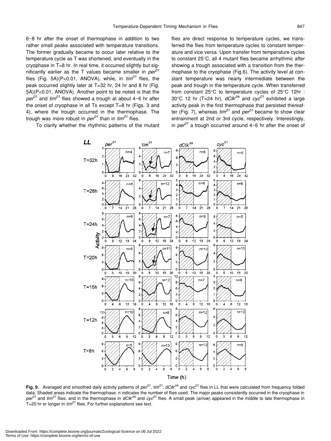6~8 hr after the onset of thermophase in addition to two rather small peaks associated with temperature transitions. The former gradually became to occur later relative to the temperature cycle as T was shortened, and eventually in the cryophase in T=8 hr. In real time, it occurred slightly but significantly earlier as the T values became smaller in *per01* flies (Fig. 5A)(P<0.01, ANOVA), while, in  $\lim^{01}$  flies, the peak occurred slightly later at T=32 hr, 24 hr and 8 hr (Fig. 5A)(P<0.01, ANOVA). Another point to be noted is that the  $\rho e^{\rho T}$  and  $\theta$ <sup>t flies showed a trough at about 4~6 hr after</sup> the onset of cryophase in all Ts except T=8 hr (Figs. 3 and 4), where the trough occurred in the thermophase. The trough was more robust in  $\rho e^{\rho}$  than in  $\theta$ <sup>1</sup> flies.

To clarify whether the rhythmic patterns of the mutant

flies are direct response to temperature cycles, we transferred the flies from temperature cycles to constant temperature and vice versa. Upon transfer from temperature cycles to constant 25°C, all 4 mutant flies became arrhythmic after showing a trough associated with a transition from the thermophase to the cryophase (Fig.6). The activity level at constant temperature was nearly intermediate between the peak and trough in the temperature cycle. When transferred from constant 25°C to temperature cycles of 25°C 12hr : 30°C 12 hr (T=24 hr),  $dClk^{Jrk}$  and  $cyc^{01}$  exhibited a large activity peak in the first thermophase that persisted thereafter (Fig. 7), whereas  $\lim^{01}$  and  $\varrho e^{\pi/1}$  became to show clear entrainment at 2nd or 3rd cycle, respectively. Interestingly, in  $\pi$ <sup>01</sup> a trough occurred around  $4 \sim 6$  hr after the onset of



**Fig. 9.** Averaged and smoothed daily activity patterns of *per01*, *tim01*, *dClkJrk* and *cyc01* flies in LL that were calculated from frequency folded data. Shaded areas indicate the thermophase. n indicates the number of flies used. The major peaks consistently occurred in the cryophase in  $pe^{01}$  and *tim*<sup>01</sup> flies, and in the thermophase in  $dC/k^{Jrk}$  and  $cyc^{01}$  flies. A small peak (arrow) appeared in the middle to late thermophase in T=20 hr or longer in *tim01* flies. For further explanations see text.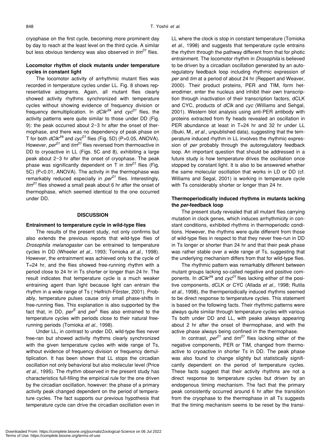cryophase on the first cycle, becoming more prominent day by day to reach at the least level on the third cycle. A similar but less obvious tendency was also observed in *tim01* flies.

## **Locomotor rhythm of clock mutants under temperature cycles in constant light**

The locomotor activity of arrhythmic mutant flies was recorded in temperature cycles under LL. Fig. 8 shows representative actograms. Again, all mutant flies clearly showed activity rhythms synchronized with temperature cycles without showing evidence of frequency division or frequency demultiplication. In *dClk<sup>Jrk</sup>* and *cyc<sup>01</sup>* flies, the activity patterns were quite similar to those under DD (Fig. 9): the peak occurred about 2~3 hr after the onset of thermophase, and there was no dependency of peak phase on T for both  $dClk^{Jrk}$  and  $cyc^{01}$  flies (Fig. 5D) (P>0.05, ANOVA). However, *per*<sup>01</sup> and *tim*<sup>01</sup> flies reversed from thermoactive in DD to cryoactive in LL (Figs. 5C and 8), exhibiting a large peak about 2~3 hr after the onset of cryophase. The peak phase was significantly dependent on T in *tim01* flies (Fig. 5C) (P<0.01, ANOVA). The activity in the thermophase was remarkably reduced especially in *per*<sup>01</sup> flies. Interestingly, *tim01* flies showed a small peak about 6 hr after the onset of thermophase, which seemed identical to the one occurred under DD.

## **DISCUSSION**

#### **Entrainment to temperature cycle in wild-type flies**

The results of the present study, not only confirms but also extends the previous reports that wild-type flies of *Drosophila melanogaster* can be entrained to temperature cycles in DD (Wheeler *et al*., 1993; Tomioka *et al*., 1998). However, the entrainment was achieved only to the cycle of T=24 hr, and the flies showed free-running rhythm with a period close to 24 hr in Ts shorter or longer than 24 hr. The result indicates that temperature cycle is a much weaker entraining agent than light because light can entrain the rhythm in a wide range of Ts ( Helfrich-Förster, 2001). Probably, temperature pulses cause only small phase-shifts in free-running flies. This explanation is also supported by the fact that, in DD, *per<sup>S</sup>* and *per*<sup>L</sup> flies also entrained to the temperature cycles with periods close to their natural freerunning periods (Tomioka *et al*., 1998).

Under LL, in contrast to under DD, wild-type flies never free-ran but showed activity rhythms clearly synchronized with the given temperature cycles with wide range of Ts, without evidence of frequency division or frequency demultiplication. It has been shown that LL stops the circadian oscillation not only behavioral but also molecular level (Price *et al*., 1995). The rhythm observed in the present study has characteristics full-filling the empirical rule for the one driven by the circadian oscillation, however: the phase of a primary activity peak changed dependent on the period of temperature cycles. The fact supports our previous hypothesis that temperature cycle can drive the circadian oscillation even in LL where the clock is stop in constant temperature (Tomioka *et al*., 1998) and suggests that temperature cycle entrains the rhythm through the pathway different from that for photic entrainment. The locomotor rhythm in *Drosophila* is believed to be driven by a circadian oscillation generated by an autoregulatory feedback loop including rhythmic expression of *per* and *tim* at a period of about 24 hr (Reppert and Weaver, 2000). Their product proteins, PER and TIM, form heterodimer, enter the nucleus and inhibit their own transcription through inactivation of their transcription factors, dCLK and CYC, products of *dClk* and *cyc* (Williams and Sehgal, 2001). Western blot analysis using anti-PER antibody with proteins extracted from fly heads revealed an oscillation in PER abundance at least in T=24 hr and 32 hr under LL (Ibuki, M., *et al*., unpublished data), suggesting that the temperature induced rhythm in LL involves the rhythmic expression of *per* probably through the autoregulatory feedback loop. An important question that should be addressed in a future study is how temperature drives the oscillation once stopped by constant light. It is also to be answered whether the same molecular oscillation that works in LD or DD (cf. Williams and Segal, 2001) is working in temperature cycle with Ts considerably shorter or longer than 24 hr.

## **Thermoperiodically induced rhythms in mutants lacking the** *per***-feedback loop**

The present study revealed that all mutant flies carrying mutation in clock genes, which induces arrhythmicity in constant conditions, exhibited rhythms in thermoperiodic conditions. However, the rhythms were quite different from those of wild-type flies in respect to that they never free-run in DD in Ts longer or shorter than 24 hr and that their peak phase was rather stable over a wide range of Ts, suggesting that the underlying mechanism differs from that for wild-type flies.

The rhythmic pattern was remarkably different between mutant groups lacking so-called negative and positive components. In *dClk<sup>Jrk</sup>* and *cyc*<sup>01</sup> flies lacking either of the positive components, dCLK or CYC (Allada *et al*., 1998; Rutila *et al*., 1998), the thermperiodically induced rhythms seemed to be direct response to temperature cycles. This statement is based on the following facts. Their rhythmic patterns were always quite similar through temperature cycles with various Ts both under DD and LL, with peaks always appearing about 2 hr after the onset of thermophase, and with the active phase always being confined in the thermophase.

In contrast,  $\rho e^{j\theta}$  and  $\lim^{01}$  flies lacking either of the negative components, PER or TIM, changed from thermoactive to cryoactive in shorter Ts in DD. The peak phase was also found to change slightly but statistically significantly dependent on the period of temperature cycles. These facts suggest that their activity rhythms are not a direct response to temperature cycles but driven by an endogenous timing mechanism. The fact that the primary peak consistently occurred around 6 hr after the transition from the cryophase to the thermophase in all Ts suggests that the timing mechanism seems to be reset by the transi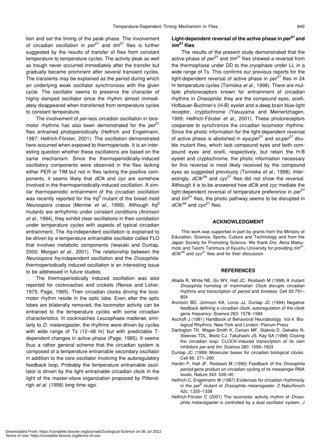tion and set the timing of the peak phase. The involvement of circadian oscillation in *per01* and *tim01* flies is further suggested by the results of transfer of flies from constant temperature to temperature cycles. The activity peak as well as trough never occurred immediately after the transfer but gradually became prominent after several transient cycles. The transients may be explained as the period during which an underlying weak oscillator synchronizes with the given cycle. The oscillator seems to preserve the character of highly damped oscillator since the rhythm almost immediately disappeared when transferred from temperature cycles to constant temperature.

The involvement of *per*-less circadian oscillation in locomotor rhythms has also been demonstrated for the *per*<sup>01</sup> flies entrained photoperiodically (Helfrich and Engelmann, 1987; Helfrich-Förster, 2001). The oscillation demonstrated here occurred when exposed to thermoperiods. It is an interesting question whether these oscillations are based on the same mechanism. Since the thermoperiodically-induced oscillatory components were observed in the flies lacking either PER or TIM but not in flies lacking the positive components, it seems likely that *dClk* and *cyc* are somehow involved in the thermoperiodically-induced oscillation. A similar thermoperiodic entrainment of the circadian oscillation was recently reported for the *frq*<sup>9</sup> mutant of the bread mold *Neurospora crassa* (Merrow *et al*., 1999). Although *frq9* mutants are arrhythmic under constant conditions (Aronson *et al*., 1994), they exhibit clear oscillations in their conidiation under temperature cycles with aspects of typical circadian entrainment. The *frq*-independent oscillation is explained to be driven by a temperature entrainable oscillator called FLO that involves metabolic components (Iwasaki and Dunlap, 2000; Morgan *et al*., 2001). The relationship between the *Neurospora frq*-independent oscillation and the *Drosophila*thermoperiodically induced oscillation is an interesting issue to be addressed in future studies.

The thermoperiodically induced oscillation was also reported for cockroaches and crickets (Rence and Loher, 1975; Page, 1985). Their circadian clocks driving the locomotor rhythm reside in the optic lobe. Even after the optic lobes are bilaterally removed, the locomotor activity can be entrained to the temperature cycles with some circadian characteristics. In cockroaches *Leucophaea maderae*, similarly to *D. melanogaster*, the rhythms were driven by cycles with wide range of Ts (12~48 hr) but with predictable Tdependent changes in active phase (Page, 1985). It seems thus a rather general scheme that the circadian system is composed of a temperature entrainable secondary oscillator in addition to the core oscillator involving the autoregulatory feedback loop. Probably the temperature entrainable oscillator is driven by the light entrainable circadian clock in the light of the master-slave organization proposed by Pittendrigh *et al*. (1958) long time ago.

## **Light-dependent reversal of the active phase in** *per01* **and** *tim01* **flies**

The results of the present study demonstrated that the active phase of  $\rho e^{\rho}$  and  $\theta$ <sup>flies</sup> showed a reversal from the thermophase under DD to the cryophase under LL in a wide range of Ts. This confirms our previous reports for the light-dependent reversal of active phase in  $\text{per}^{01}$  flies in 24 hr temperature cycles (Tomioka *et al*., 1998). There are multiple photoreceptors known for entrainment of circadian rhythms in *Drosophila*: they are the compound eyes, ocelli, Hofbauer-Buchner's (H-B) eyelet and a deep brain blue-light receptor, cryptochrome (Yasuyama and Meinertzhagen, 1999; Helfrich-Förster *et al*., 2001). These photoreceptors cooperate to synchronize the circadian locomotor rhythms. Since the photic information for the light-dependent reversal of active phase is abolished in  $e$ ya;per<sup>01</sup> and so;per<sup>01</sup> double mutant flies, which lack compound eyes and both compound eyes and ocelli, respectively, but retain the H-B eyelet and cryptochrome, the photic information necessary for this reversal is most likely received by the compound eyes as suggested previously (Tomioka *et al*., 1998). Interestingly,  $dC/k^{Jrk}$  and  $cyc^{01}$  flies did not show the reversal. Although it is to be answered how *dClk* and *cyc* mediate the light-dependent reversal of temperature preference in *per01* and *tim01* flies, the photic pathway seems to be disrupted in *dClkJrk* and *cyc01* flies.

#### **ACKNOWLEDGMENT**

This work was supported in part by grants from the Ministry of Education, Science, Sports, Culture and Technology and from the Japan Society for Promoting Science. We thank Drs. Akira Matsumoto and Teiichi Tanimura of Kyushu University for providing *tim01*, *dClkJrk* and *cyc01* flies and for their discussion.

## **REFERENCES**

- Allada R, White NE, So WV, Hall JC, Rosbash M (1998) A mutant *Drosophila* homolog of mammalian *Clock* disrupts circadian rhythms and transcription of *period* and *timeless*. Cell 93:791– 804
- Aronson BD, Johnson KA, Loros JJ, Dunlap JC (1994) Negative feedback defining a circadian clock: autoregulation of the clock gene *frequency*. Science 263: 1578–1584
- Aschoff J (1981) Handbook of Behavioral Neurobiology. Vol.4. Biological Rhythms. New York and London: Plenum Press
- Darlington TK, Wager-Smith K, Ceriani MF, Staknis D, Gekakis N, Steeves TDL, Weitz CJ, Takahashi JS, Kay SA (1998) Closing the circadian loop: CLOCK-induced transcription of its own inhibitors *per* and *tim*. Science 280: 1599–1603
- Dunlap JC (1999) Molecular bases for circadian biological clocks. Cell 96: 271–290
- Hardin P, Hall JF, Rosbash M (1990) Feedback of the *Drosophila period* gene product on circadian cycling of its messenger RNA levels. Nature 343: 536–40
- Helfrich C, Engelmann W (1987) Evidences for circadian rhythmicity in the *per<sup>0</sup>* mutant of *Drosophila melanogaster*. Z Naturforsch 42c: 1335–1338
- Helfrich-Förster C (2001) The locomotor activity rhythm of *Drosophila melanogaster* is controlled by a dual oscillator system. J